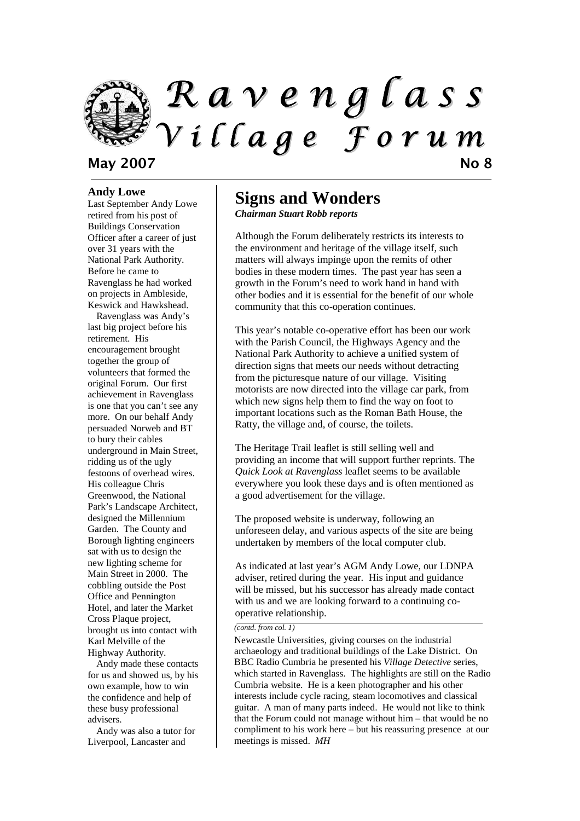

May 2007 No 8

#### **Andy Lowe**

Last September Andy Lowe retired from his post of Buildings Conservation Officer after a career of just over 31 years with the National Park Authority. Before he came to Ravenglass he had worked on projects in Ambleside, Keswick and Hawkshead.

Ravenglass was Andy's last big project before his retirement. His encouragement brought together the group of volunteers that formed the original Forum. Our first achievement in Ravenglass is one that you can't see any more. On our behalf Andy persuaded Norweb and BT to bury their cables underground in Main Street, ridding us of the ugly festoons of overhead wires. His colleague Chris Greenwood, the National Park's Landscape Architect, designed the Millennium Garden. The County and Borough lighting engineers sat with us to design the new lighting scheme for Main Street in 2000. The cobbling outside the Post Office and Pennington Hotel, and later the Market Cross Plaque project, brought us into contact with Karl Melville of the Highway Authority.

Andy made these contacts for us and showed us, by his own example, how to win the confidence and help of these busy professional advisers.

Andy was also a tutor for Liverpool, Lancaster and

# **Signs and Wonders**

*Chairman Stuart Robb reports* 

Although the Forum deliberately restricts its interests to the environment and heritage of the village itself, such matters will always impinge upon the remits of other bodies in these modern times. The past year has seen a growth in the Forum's need to work hand in hand with other bodies and it is essential for the benefit of our whole community that this co-operation continues.

This year's notable co-operative effort has been our work with the Parish Council, the Highways Agency and the National Park Authority to achieve a unified system of direction signs that meets our needs without detracting from the picturesque nature of our village. Visiting motorists are now directed into the village car park, from which new signs help them to find the way on foot to important locations such as the Roman Bath House, the Ratty, the village and, of course, the toilets.

The Heritage Trail leaflet is still selling well and providing an income that will support further reprints. The *Quick Look at Ravenglass* leaflet seems to be available everywhere you look these days and is often mentioned as a good advertisement for the village.

The proposed website is underway, following an unforeseen delay, and various aspects of the site are being undertaken by members of the local computer club.

As indicated at last year's AGM Andy Lowe, our LDNPA adviser, retired during the year. His input and guidance will be missed, but his successor has already made contact with us and we are looking forward to a continuing cooperative relationship.

#### *(contd. from col. 1)*

Newcastle Universities, giving courses on the industrial archaeology and traditional buildings of the Lake District. On BBC Radio Cumbria he presented his *Village Detective* series, which started in Ravenglass. The highlights are still on the Radio Cumbria website. He is a keen photographer and his other interests include cycle racing, steam locomotives and classical guitar. A man of many parts indeed. He would not like to think that the Forum could not manage without him – that would be no compliment to his work here – but his reassuring presence at our meetings is missed. *MH*